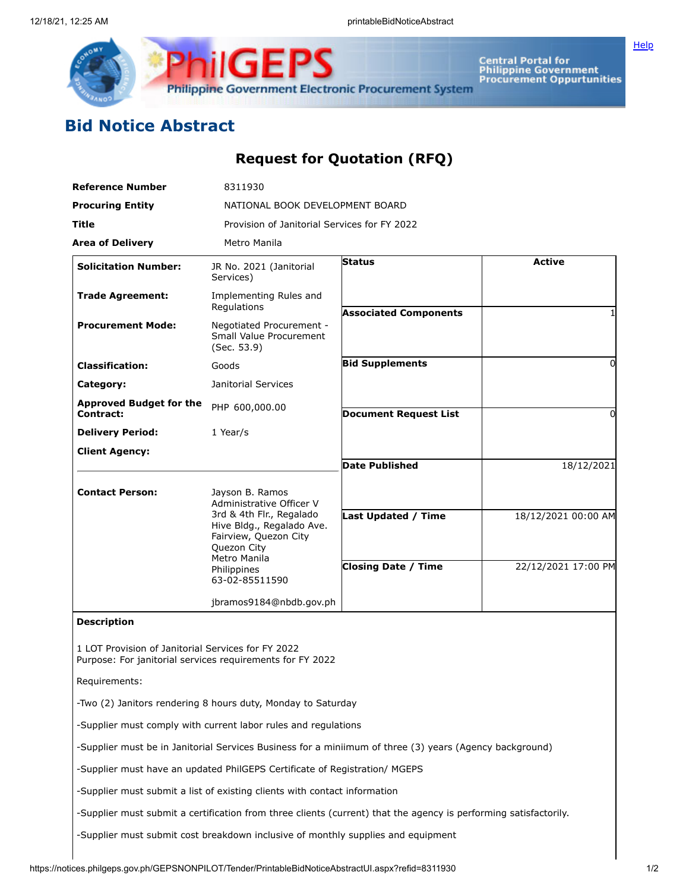

**Central Portal for<br>Philippine Government<br>Procurement Oppurtunities** 

**[Help](javascript:void(window.open()** 

## **Bid Notice Abstract**

## **Request for Quotation (RFQ)**

| <b>Reference Number</b>                            | 8311930                                                                                                                                      |                                                                                                                  |                     |
|----------------------------------------------------|----------------------------------------------------------------------------------------------------------------------------------------------|------------------------------------------------------------------------------------------------------------------|---------------------|
| <b>Procuring Entity</b>                            | NATIONAL BOOK DEVELOPMENT BOARD                                                                                                              |                                                                                                                  |                     |
| <b>Title</b>                                       | Provision of Janitorial Services for FY 2022                                                                                                 |                                                                                                                  |                     |
| <b>Area of Delivery</b>                            | Metro Manila                                                                                                                                 |                                                                                                                  |                     |
| <b>Solicitation Number:</b>                        | JR No. 2021 (Janitorial<br>Services)                                                                                                         | <b>Status</b>                                                                                                    | <b>Active</b>       |
| <b>Trade Agreement:</b>                            | Implementing Rules and<br>Regulations                                                                                                        | <b>Associated Components</b>                                                                                     |                     |
| <b>Procurement Mode:</b>                           | Negotiated Procurement -<br>Small Value Procurement<br>(Sec. 53.9)                                                                           |                                                                                                                  |                     |
| <b>Classification:</b>                             | Goods                                                                                                                                        | <b>Bid Supplements</b>                                                                                           | 0                   |
| Category:                                          | Janitorial Services                                                                                                                          |                                                                                                                  |                     |
| <b>Approved Budget for the</b><br>Contract:        | PHP 600,000.00                                                                                                                               | <b>Document Request List</b>                                                                                     | 0                   |
| <b>Delivery Period:</b>                            | 1 Year/s                                                                                                                                     |                                                                                                                  |                     |
| <b>Client Agency:</b>                              |                                                                                                                                              |                                                                                                                  |                     |
|                                                    |                                                                                                                                              | <b>Date Published</b>                                                                                            | 18/12/2021          |
| <b>Contact Person:</b>                             | Jayson B. Ramos<br>Administrative Officer V<br>3rd & 4th Flr., Regalado<br>Hive Bldg., Regalado Ave.<br>Fairview, Quezon City<br>Quezon City |                                                                                                                  |                     |
|                                                    |                                                                                                                                              | <b>Last Updated / Time</b>                                                                                       | 18/12/2021 00:00 AM |
|                                                    | Metro Manila<br>Philippines<br>63-02-85511590                                                                                                | <b>Closing Date / Time</b>                                                                                       | 22/12/2021 17:00 PM |
|                                                    | jbramos9184@nbdb.gov.ph                                                                                                                      |                                                                                                                  |                     |
| <b>Description</b>                                 |                                                                                                                                              |                                                                                                                  |                     |
| 1 LOT Provision of Janitorial Services for FY 2022 | Purpose: For janitorial services requirements for FY 2022                                                                                    |                                                                                                                  |                     |
| Requirements:                                      |                                                                                                                                              |                                                                                                                  |                     |
|                                                    | -Two (2) Janitors rendering 8 hours duty, Monday to Saturday                                                                                 |                                                                                                                  |                     |
|                                                    | -Supplier must comply with current labor rules and regulations                                                                               |                                                                                                                  |                     |
|                                                    |                                                                                                                                              | -Supplier must be in Janitorial Services Business for a miniimum of three (3) years (Agency background)          |                     |
|                                                    | -Supplier must have an updated PhilGEPS Certificate of Registration/ MGEPS                                                                   |                                                                                                                  |                     |
|                                                    | -Supplier must submit a list of existing clients with contact information                                                                    |                                                                                                                  |                     |
|                                                    |                                                                                                                                              | -Supplier must submit a certification from three clients (current) that the agency is performing satisfactorily. |                     |
|                                                    |                                                                                                                                              |                                                                                                                  |                     |

-Supplier must submit cost breakdown inclusive of monthly supplies and equipment